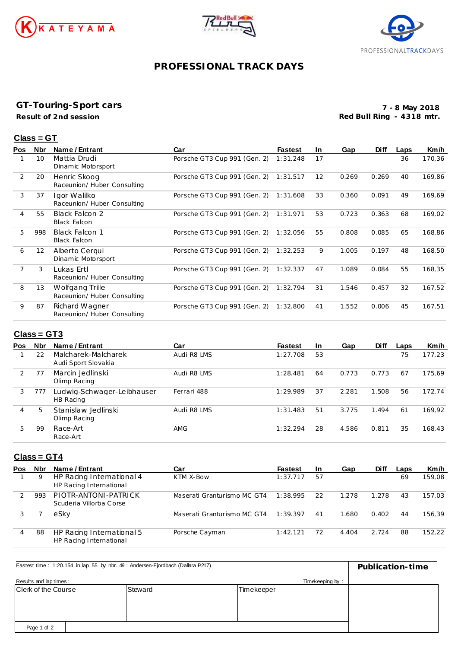





# **PROFESSIONAL TRACK DAYS**

### **GT-Touring-Sport cars**

**Result of 2nd session**

**7 - 8 May 2018 Red Bull Ring - 4318 mtr.**

#### **Class = GT**

| Pos            | <b>Nbr</b> | Name / Entrant                                 | Car                          | <b>Fastest</b> | In.               | Gap   | <b>Diff</b> | Laps | Km/h   |
|----------------|------------|------------------------------------------------|------------------------------|----------------|-------------------|-------|-------------|------|--------|
|                | 10         | Mattia Drudi<br>Dinamic Motorsport             | Porsche GT3 Cup 991 (Gen. 2) | 1:31.248       | 17                |       |             | 36   | 170,36 |
| 2              | 20         | Henric Skoog<br>Raceunion/ Huber Consulting    | Porsche GT3 Cup 991 (Gen. 2) | 1:31.517       | $12 \overline{ }$ | 0.269 | 0.269       | 40   | 169,86 |
| 3              | 37         | Igor Walilko<br>Raceunion/ Huber Consulting    | Porsche GT3 Cup 991 (Gen. 2) | 1:31.608       | 33                | 0.360 | 0.091       | 49   | 169,69 |
| $\overline{4}$ | 55         | <b>Black Falcon 2</b><br><b>Black Falcon</b>   | Porsche GT3 Cup 991 (Gen. 2) | 1:31.971       | 53                | 0.723 | 0.363       | 68   | 169,02 |
| 5              | 998        | <b>Black Falcon 1</b><br><b>Black Falcon</b>   | Porsche GT3 Cup 991 (Gen. 2) | 1:32.056       | 55                | 0.808 | 0.085       | 65   | 168,86 |
| 6              | 12         | Alberto Cergui<br>Dinamic Motorsport           | Porsche GT3 Cup 991 (Gen. 2) | 1:32.253       | 9                 | 1.005 | 0.197       | 48   | 168,50 |
| 7              | 3          | Lukas Ertl<br>Raceunion/ Huber Consulting      | Porsche GT3 Cup 991 (Gen. 2) | 1:32.337       | 47                | 1.089 | 0.084       | 55   | 168,35 |
| 8              | 13         | Wolfgang Trille<br>Raceunion/ Huber Consulting | Porsche GT3 Cup 991 (Gen. 2) | 1:32.794       | 31                | 1.546 | 0.457       | 32   | 167,52 |
| 9              | 87         | Richard Wagner<br>Raceunion/ Huber Consulting  | Porsche GT3 Cup 991 (Gen. 2) | 1:32.800       | 41                | 1.552 | 0.006       | 45   | 167,51 |
|                |            |                                                |                              |                |                   |       |             |      |        |

## **Class = GT3**

| <b>Pos</b>    | <b>Nbr</b> | Name / Entrant                             | Car         | <b>Fastest</b> | <b>In</b> | Gap   | <b>Diff</b> | Laps | Km/h   |
|---------------|------------|--------------------------------------------|-------------|----------------|-----------|-------|-------------|------|--------|
|               | 22         | Malcharek-Malcharek<br>Audi Sport Slovakia | Audi R8 LMS | 1:27.708       | 53        |       |             | 75   | 177.23 |
| $\mathcal{L}$ | 77         | Marcin Jedlinski<br>Olimp Racing           | Audi R8 LMS | 1:28.481       | 64        | 0.773 | 0.773       | 67   | 175.69 |
| 3             | 777        | Ludwig-Schwager-Leibhauser<br>HB Racing    | Ferrari 488 | 1:29.989       | 37        | 2.281 | 1.508       | 56   | 172.74 |
| 4             | 5          | Stanislaw Jedlinski<br>Olimp Racing        | Audi R8 LMS | 1:31.483       | 51        | 3.775 | 1.494       | 61   | 169.92 |
| 5             | -99        | Race-Art<br>Race-Art                       | <b>AMG</b>  | 1:32.294       | 28        | 4.586 | 0.811       | 35   | 168,43 |

## **Class = GT4**

| <b>Pos</b> | Nbr | Name / Entrant                                       | Car                         | <b>Fastest</b> | <b>In</b> | Gap   | <b>Diff</b> | Laps | Km/h   |
|------------|-----|------------------------------------------------------|-----------------------------|----------------|-----------|-------|-------------|------|--------|
|            | 9   | HP Racing International 4<br>HP Racing International | KTM X-Bow                   | 1:37.717       | 57        |       |             | 69   | 159.08 |
|            | 993 | PIOTR-ANTONI-PATRICK<br>Scuderia Villorba Corse      | Maserati Granturismo MC GT4 | 1:38.995       | 22        | 1.278 | 1.278       | 43   | 157.03 |
|            |     | eSkv                                                 | Maserati Granturismo MC GT4 | 1:39.397       | 41        | 1.680 | 0.402       | 44   | 156.39 |
| 4          | 88  | HP Racing International 5<br>HP Racing International | Porsche Cayman              | 1:42.121       | 72        | 4.404 | 2.724       | 88   | 152.22 |

| Fastest time: 1:20.154 in lap 55 by nbr. 49 : Andersen-Fjordbach (Dallara P217) | Publication-time |            |  |
|---------------------------------------------------------------------------------|------------------|------------|--|
| Results and lap times:                                                          |                  |            |  |
| <b>Clerk of the Course</b>                                                      | Steward          | Timekeeper |  |
|                                                                                 |                  |            |  |
|                                                                                 |                  |            |  |
|                                                                                 |                  |            |  |
| Page 1 of 2                                                                     |                  |            |  |